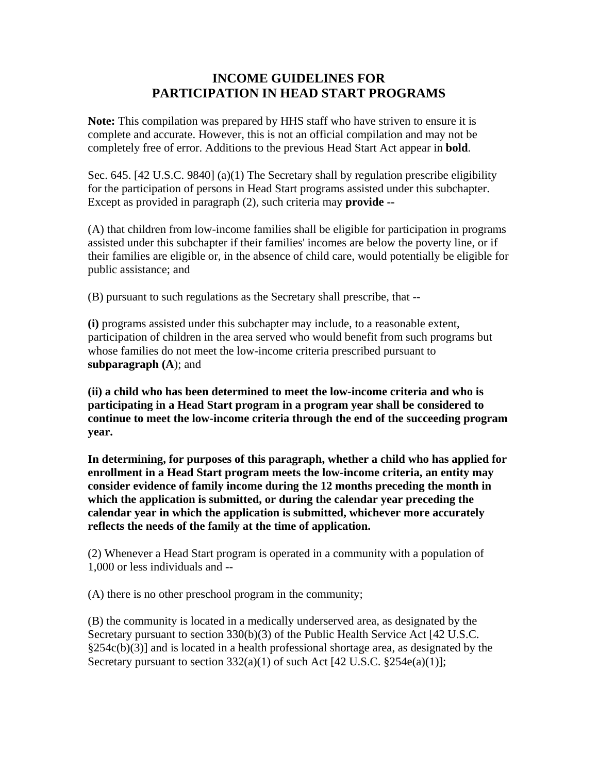## **INCOME GUIDELINES FOR PARTICIPATION IN HEAD START PROGRAMS**

**Note:** This compilation was prepared by HHS staff who have striven to ensure it is complete and accurate. However, this is not an official compilation and may not be completely free of error. Additions to the previous Head Start Act appear in **bold**.

Sec. 645. [42 U.S.C. 9840] (a)(1) The Secretary shall by regulation prescribe eligibility for the participation of persons in Head Start programs assisted under this subchapter. Except as provided in paragraph (2), such criteria may **provide --**

(A) that children from low-income families shall be eligible for participation in programs assisted under this subchapter if their families' incomes are below the poverty line, or if their families are eligible or, in the absence of child care, would potentially be eligible for public assistance; and

(B) pursuant to such regulations as the Secretary shall prescribe, that --

**(i)** programs assisted under this subchapter may include, to a reasonable extent, participation of children in the area served who would benefit from such programs but whose families do not meet the low-income criteria prescribed pursuant to **subparagraph (A**); and

**(ii) a child who has been determined to meet the low-income criteria and who is participating in a Head Start program in a program year shall be considered to continue to meet the low-income criteria through the end of the succeeding program year.** 

**In determining, for purposes of this paragraph, whether a child who has applied for enrollment in a Head Start program meets the low-income criteria, an entity may consider evidence of family income during the 12 months preceding the month in which the application is submitted, or during the calendar year preceding the calendar year in which the application is submitted, whichever more accurately reflects the needs of the family at the time of application.**

(2) Whenever a Head Start program is operated in a community with a population of 1,000 or less individuals and --

(A) there is no other preschool program in the community;

(B) the community is located in a medically underserved area, as designated by the Secretary pursuant to section 330(b)(3) of the Public Health Service Act [42 U.S.C.  $\S254c(b)(3)$ ] and is located in a health professional shortage area, as designated by the Secretary pursuant to section  $332(a)(1)$  of such Act [42 U.S.C.  $\S254e(a)(1)$ ];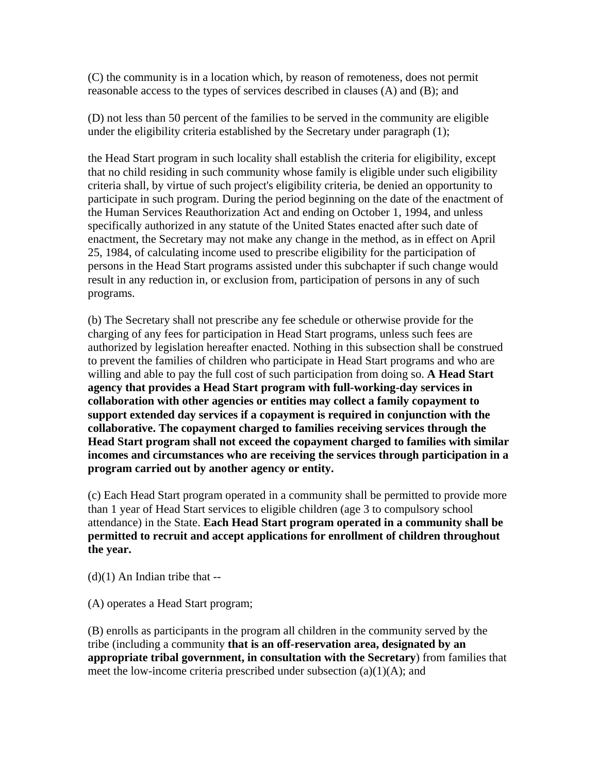(C) the community is in a location which, by reason of remoteness, does not permit reasonable access to the types of services described in clauses (A) and (B); and

(D) not less than 50 percent of the families to be served in the community are eligible under the eligibility criteria established by the Secretary under paragraph (1);

the Head Start program in such locality shall establish the criteria for eligibility, except that no child residing in such community whose family is eligible under such eligibility criteria shall, by virtue of such project's eligibility criteria, be denied an opportunity to participate in such program. During the period beginning on the date of the enactment of the Human Services Reauthorization Act and ending on October 1, 1994, and unless specifically authorized in any statute of the United States enacted after such date of enactment, the Secretary may not make any change in the method, as in effect on April 25, 1984, of calculating income used to prescribe eligibility for the participation of persons in the Head Start programs assisted under this subchapter if such change would result in any reduction in, or exclusion from, participation of persons in any of such programs.

(b) The Secretary shall not prescribe any fee schedule or otherwise provide for the charging of any fees for participation in Head Start programs, unless such fees are authorized by legislation hereafter enacted. Nothing in this subsection shall be construed to prevent the families of children who participate in Head Start programs and who are willing and able to pay the full cost of such participation from doing so. **A Head Start agency that provides a Head Start program with full-working-day services in collaboration with other agencies or entities may collect a family copayment to support extended day services if a copayment is required in conjunction with the collaborative. The copayment charged to families receiving services through the Head Start program shall not exceed the copayment charged to families with similar incomes and circumstances who are receiving the services through participation in a program carried out by another agency or entity.**

(c) Each Head Start program operated in a community shall be permitted to provide more than 1 year of Head Start services to eligible children (age 3 to compulsory school attendance) in the State. **Each Head Start program operated in a community shall be permitted to recruit and accept applications for enrollment of children throughout the year.**

 $(d)(1)$  An Indian tribe that --

(A) operates a Head Start program;

(B) enrolls as participants in the program all children in the community served by the tribe (including a community **that is an off-reservation area, designated by an appropriate tribal government, in consultation with the Secretary**) from families that meet the low-income criteria prescribed under subsection  $(a)(1)(A)$ ; and